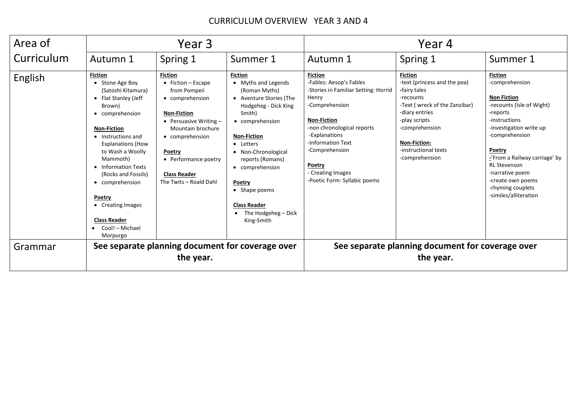## CURRICULUM OVERVIEW YEAR 3 AND 4

| Area of    |                                                                                                                                                                                                                                                                                                                                                                              | Year 3                                                                                                                                                                                                                                                       |                                                                                                                                                                                                                                                                                                                                    | Year 4                                                                                                                                                                                                                                                                                  |                                                                                                                                                                                                                                    |                                                                                                                                                                                                                                                                                                                       |
|------------|------------------------------------------------------------------------------------------------------------------------------------------------------------------------------------------------------------------------------------------------------------------------------------------------------------------------------------------------------------------------------|--------------------------------------------------------------------------------------------------------------------------------------------------------------------------------------------------------------------------------------------------------------|------------------------------------------------------------------------------------------------------------------------------------------------------------------------------------------------------------------------------------------------------------------------------------------------------------------------------------|-----------------------------------------------------------------------------------------------------------------------------------------------------------------------------------------------------------------------------------------------------------------------------------------|------------------------------------------------------------------------------------------------------------------------------------------------------------------------------------------------------------------------------------|-----------------------------------------------------------------------------------------------------------------------------------------------------------------------------------------------------------------------------------------------------------------------------------------------------------------------|
| Curriculum | Autumn 1                                                                                                                                                                                                                                                                                                                                                                     | Spring 1                                                                                                                                                                                                                                                     | Summer 1                                                                                                                                                                                                                                                                                                                           | Autumn 1                                                                                                                                                                                                                                                                                | Spring 1                                                                                                                                                                                                                           | Summer 1                                                                                                                                                                                                                                                                                                              |
| English    | <b>Fiction</b><br>• Stone Age Boy<br>(Satoshi Kitamura)<br>• Flat Stanley (Jeff<br>Brown)<br>• comprehension<br><b>Non-Fiction</b><br>• Instructions and<br><b>Explanations (How</b><br>to Wash a Woolly<br>Mammoth)<br>• Information Texts<br>(Rocks and Fossils)<br>• comprehension<br>Poetry<br>• Creating Images<br><b>Class Reader</b><br>• Cool! - Michael<br>Morpurgo | <b>Fiction</b><br>$\bullet$ Fiction – Escape<br>from Pompeii<br>• comprehension<br><b>Non-Fiction</b><br>• Persuasive Writing $-$<br>Mountain brochure<br>• comprehension<br>Poetry<br>• Performance poetry<br><b>Class Reader</b><br>The Twits - Roald Dahl | <b>Fiction</b><br>• Myths and Legends<br>(Roman Myths)<br>• Aventure Stories (The<br>Hodgeheg - Dick King<br>Smith)<br>• comprehension<br><b>Non-Fiction</b><br>• Letters<br>• Non-Chronological<br>reports (Romans)<br>• comprehension<br>Poetry<br>• Shape poems<br><b>Class Reader</b><br>• The Hodgeheg $-$ Dick<br>King-Smith | <b>Fiction</b><br>-Fables: Aesop's Fables<br>-Stories in Familiar Setting: Horrid<br>Henry<br>-Comprehension<br><b>Non-Fiction</b><br>-non chronological reports<br>-Explanations<br>-Information Text<br>-Comprehension<br>Poetry<br>- Creating Images<br>-Poetic Form: Syllabic poems | <b>Fiction</b><br>-text (princess and the pea)<br>-fairy tales<br>-recounts<br>-Text (wreck of the Zanzibar)<br>-diary entries<br>-play scripts<br>-comprehension<br><b>Non-Fiction:</b><br>-instructional texts<br>-comprehension | <b>Fiction</b><br>-comprehension<br><b>Non Fiction</b><br>-recounts (Isle of Wight)<br>-reports<br>-instructions<br>-investigation write up<br>-comprehension<br>Poetry<br>-'From a Railway carriage' by<br><b>RL Stevenson</b><br>-narrative poem<br>-create own poems<br>-rhyming couplets<br>-similes/alliteration |
| Grammar    | See separate planning document for coverage over<br>the year.                                                                                                                                                                                                                                                                                                                |                                                                                                                                                                                                                                                              |                                                                                                                                                                                                                                                                                                                                    |                                                                                                                                                                                                                                                                                         | See separate planning document for coverage over<br>the year.                                                                                                                                                                      |                                                                                                                                                                                                                                                                                                                       |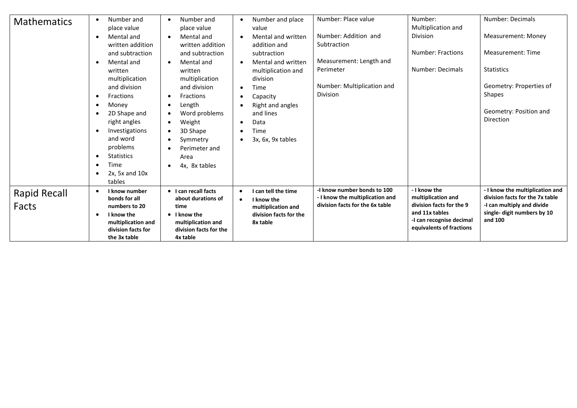| <b>Mathematics</b>           | Number and<br>place value<br>Mental and<br>written addition<br>and subtraction<br>Mental and<br>written<br>multiplication<br>and division<br>Fractions<br>- 0<br>Money<br>$\bullet$<br>2D Shape and<br>right angles<br>Investigations<br>and word<br>problems<br><b>Statistics</b><br>Time<br>$2x$ , 5x and $10x$ | Number and<br>$\bullet$<br>place value<br>Mental and<br>$\bullet$<br>written addition<br>and subtraction<br>Mental and<br>$\bullet$<br>written<br>multiplication<br>and division<br>Fractions<br>$\bullet$<br>Length<br>$\bullet$<br>Word problems<br>$\bullet$<br>Weight<br>$\bullet$<br>3D Shape<br>$\bullet$<br>Symmetry<br>$\bullet$<br>Perimeter and<br>$\bullet$<br>Area<br>4x, 8x tables<br>$\bullet$ | Number and place<br>$\bullet$<br>value<br>Mental and written<br>$\bullet$<br>addition and<br>subtraction<br>Mental and written<br>$\bullet$<br>multiplication and<br>division<br>Time<br>$\bullet$<br>Capacity<br>$\bullet$<br>Right and angles<br>and lines<br>Data<br>$\bullet$<br>Time<br>$\bullet$<br>3x, 6x, 9x tables<br>$\bullet$ | Number: Place value<br>Number: Addition and<br>Subtraction<br>Measurement: Length and<br>Perimeter<br>Number: Multiplication and<br><b>Division</b> | Number:<br>Multiplication and<br><b>Division</b><br>Number: Fractions<br>Number: Decimals                                                | Number: Decimals<br>Measurement: Money<br>Measurement: Time<br><b>Statistics</b><br>Geometry: Properties of<br><b>Shapes</b><br>Geometry: Position and<br>Direction |
|------------------------------|-------------------------------------------------------------------------------------------------------------------------------------------------------------------------------------------------------------------------------------------------------------------------------------------------------------------|--------------------------------------------------------------------------------------------------------------------------------------------------------------------------------------------------------------------------------------------------------------------------------------------------------------------------------------------------------------------------------------------------------------|------------------------------------------------------------------------------------------------------------------------------------------------------------------------------------------------------------------------------------------------------------------------------------------------------------------------------------------|-----------------------------------------------------------------------------------------------------------------------------------------------------|------------------------------------------------------------------------------------------------------------------------------------------|---------------------------------------------------------------------------------------------------------------------------------------------------------------------|
|                              | tables                                                                                                                                                                                                                                                                                                            |                                                                                                                                                                                                                                                                                                                                                                                                              |                                                                                                                                                                                                                                                                                                                                          |                                                                                                                                                     |                                                                                                                                          |                                                                                                                                                                     |
| <b>Rapid Recall</b><br>Facts | I know number<br>bonds for all<br>numbers to 20<br>I know the<br>multiplication and<br>division facts for<br>the 3x table                                                                                                                                                                                         | • I can recall facts<br>about durations of<br>time<br>• I know the<br>multiplication and<br>division facts for the<br>4x table                                                                                                                                                                                                                                                                               | I can tell the time<br>$\bullet$<br>I know the<br>$\bullet$<br>multiplication and<br>division facts for the<br>8x table                                                                                                                                                                                                                  | -I know number bonds to 100<br>- I know the multiplication and<br>division facts for the 6x table                                                   | - I know the<br>multiplication and<br>division facts for the 9<br>and 11x tables<br>-I can recognise decimal<br>equivalents of fractions | - I know the multiplication and<br>division facts for the 7x table<br>-I can multiply and divide<br>single-digit numbers by 10<br>and 100                           |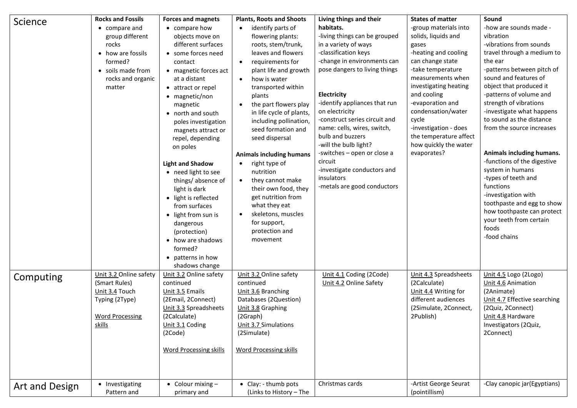| Science        | <b>Rocks and Fossils</b><br>• compare and<br>group different<br>rocks<br>• how are fossils<br>formed?<br>• soils made from<br>rocks and organic<br>matter | <b>Forces and magnets</b><br>• compare how<br>objects move on<br>different surfaces<br>• some forces need<br>contact<br>• magnetic forces act<br>at a distant<br>• attract or repel<br>• magnetic/non<br>magnetic<br>• north and south<br>poles investigation<br>magnets attract or<br>repel, depending<br>on poles<br><b>Light and Shadow</b><br>• need light to see<br>things/absence of<br>light is dark<br>• light is reflected<br>from surfaces<br>• light from sun is<br>dangerous<br>(protection)<br>• how are shadows<br>formed?<br>• patterns in how<br>shadows change | <b>Plants, Roots and Shoots</b><br>identify parts of<br>flowering plants:<br>roots, stem/trunk,<br>leaves and flowers<br>requirements for<br>$\bullet$<br>plant life and growth<br>how is water<br>$\bullet$<br>transported within<br>plants<br>the part flowers play<br>in life cycle of plants,<br>including pollination,<br>seed formation and<br>seed dispersal<br><b>Animals including humans</b><br>right type of<br>$\bullet$<br>nutrition<br>they cannot make<br>$\bullet$<br>their own food, they<br>get nutrition from<br>what they eat<br>skeletons, muscles<br>$\bullet$<br>for support,<br>protection and<br>movement | Living things and their<br>habitats.<br>-living things can be grouped<br>in a variety of ways<br>-classification keys<br>-change in environments can<br>pose dangers to living things<br><b>Electricity</b><br>-identify appliances that run<br>on electricity<br>-construct series circuit and<br>name: cells, wires, switch,<br>bulb and buzzers<br>-will the bulb light?<br>-switches - open or close a<br>circuit<br>-investigate conductors and<br>insulators<br>-metals are good conductors | <b>States of matter</b><br>-group materials into<br>solids, liquids and<br>gases<br>-heating and cooling<br>can change state<br>-take temperature<br>measurements when<br>investigating heating<br>and cooling<br>-evaporation and<br>condensation/water<br>cycle<br>-investigation - does<br>the temperature affect<br>how quickly the water<br>evaporates? | Sound<br>-how are sounds made -<br>vibration<br>-vibrations from sounds<br>travel through a medium to<br>the ear<br>-patterns between pitch of<br>sound and features of<br>object that produced it<br>-patterns of volume and<br>strength of vibrations<br>-investigate what happens<br>to sound as the distance<br>from the source increases<br>Animals including humans.<br>-functions of the digestive<br>system in humans<br>-types of teeth and<br>functions<br>-investigation with<br>toothpaste and egg to show<br>how toothpaste can protect<br>your teeth from certain<br>foods<br>-food chains |
|----------------|-----------------------------------------------------------------------------------------------------------------------------------------------------------|---------------------------------------------------------------------------------------------------------------------------------------------------------------------------------------------------------------------------------------------------------------------------------------------------------------------------------------------------------------------------------------------------------------------------------------------------------------------------------------------------------------------------------------------------------------------------------|------------------------------------------------------------------------------------------------------------------------------------------------------------------------------------------------------------------------------------------------------------------------------------------------------------------------------------------------------------------------------------------------------------------------------------------------------------------------------------------------------------------------------------------------------------------------------------------------------------------------------------|---------------------------------------------------------------------------------------------------------------------------------------------------------------------------------------------------------------------------------------------------------------------------------------------------------------------------------------------------------------------------------------------------------------------------------------------------------------------------------------------------|--------------------------------------------------------------------------------------------------------------------------------------------------------------------------------------------------------------------------------------------------------------------------------------------------------------------------------------------------------------|----------------------------------------------------------------------------------------------------------------------------------------------------------------------------------------------------------------------------------------------------------------------------------------------------------------------------------------------------------------------------------------------------------------------------------------------------------------------------------------------------------------------------------------------------------------------------------------------------------|
| Computing      | Unit 3.2 Online safety<br>(Smart Rules)<br>Unit 3.4 Touch<br>Typing (2Type)<br>Word Processing<br>skills                                                  | Unit 3.2 Online safety<br>continued<br>Unit 3.5 Emails<br>(2Email, 2Connect)<br>Unit 3.3 Spreadsheets<br>(2Calculate)<br>Unit 3.1 Coding<br>(2Code)<br>Word Processing skills                                                                                                                                                                                                                                                                                                                                                                                                   | Unit 3.2 Online safety<br>continued<br>Unit 3.6 Branching<br>Databases (2Question)<br>Unit 3.8 Graphing<br>(2Graph)<br>Unit 3.7 Simulations<br>(2Simulate)<br><b>Word Processing skills</b>                                                                                                                                                                                                                                                                                                                                                                                                                                        | Unit 4.1 Coding (2Code)<br>Unit 4.2 Online Safety                                                                                                                                                                                                                                                                                                                                                                                                                                                 | Unit 4.3 Spreadsheets<br>(2Calculate)<br>Unit 4.4 Writing for<br>different audiences<br>(2Simulate, 2Connect,<br>2Publish)                                                                                                                                                                                                                                   | Unit 4.5 Logo (2Logo)<br>Unit 4.6 Animation<br>(2Animate)<br>Unit 4.7 Effective searching<br>(2Quiz, 2Connect)<br>Unit 4.8 Hardware<br>Investigators (2Quiz,<br>2Connect)                                                                                                                                                                                                                                                                                                                                                                                                                                |
| Art and Design | • Investigating<br>Pattern and                                                                                                                            | $\bullet$ Colour mixing $-$<br>primary and                                                                                                                                                                                                                                                                                                                                                                                                                                                                                                                                      | • Clay: - thumb pots<br>(Links to History - The                                                                                                                                                                                                                                                                                                                                                                                                                                                                                                                                                                                    | Christmas cards                                                                                                                                                                                                                                                                                                                                                                                                                                                                                   | -Artist George Seurat<br>(pointillism)                                                                                                                                                                                                                                                                                                                       | -Clay canopic jar(Egyptians)                                                                                                                                                                                                                                                                                                                                                                                                                                                                                                                                                                             |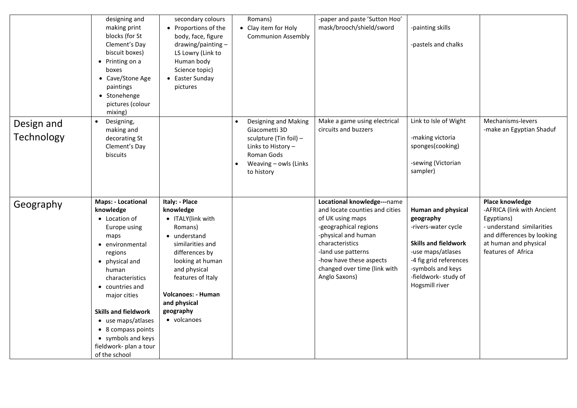|                          | designing and<br>making print<br>blocks (for St<br>Clement's Day<br>biscuit boxes)<br>• Printing on a<br>boxes<br>• Cave/Stone Age<br>paintings                                                                                                                                                                                            | secondary colours<br>• Proportions of the<br>body, face, figure<br>drawing/painting-<br>LS Lowry (Link to<br>Human body<br>Science topic)<br>• Easter Sunday<br>pictures                                                                            | Romans)<br>• Clay item for Holy<br><b>Communion Assembly</b>                                                                                                         | -paper and paste 'Sutton Hoo'<br>mask/brooch/shield/sword                                                                                                                                                                                              | -painting skills<br>-pastels and chalks                                                                                                                                                                    |                                                                                                                                                                       |
|--------------------------|--------------------------------------------------------------------------------------------------------------------------------------------------------------------------------------------------------------------------------------------------------------------------------------------------------------------------------------------|-----------------------------------------------------------------------------------------------------------------------------------------------------------------------------------------------------------------------------------------------------|----------------------------------------------------------------------------------------------------------------------------------------------------------------------|--------------------------------------------------------------------------------------------------------------------------------------------------------------------------------------------------------------------------------------------------------|------------------------------------------------------------------------------------------------------------------------------------------------------------------------------------------------------------|-----------------------------------------------------------------------------------------------------------------------------------------------------------------------|
|                          | • Stonehenge<br>pictures (colour<br>mixing)                                                                                                                                                                                                                                                                                                |                                                                                                                                                                                                                                                     |                                                                                                                                                                      |                                                                                                                                                                                                                                                        |                                                                                                                                                                                                            |                                                                                                                                                                       |
| Design and<br>Technology | Designing,<br>$\bullet$<br>making and<br>decorating St<br>Clement's Day<br>biscuits                                                                                                                                                                                                                                                        |                                                                                                                                                                                                                                                     | Designing and Making<br>$\bullet$<br>Giacometti 3D<br>sculpture (Tin foil) -<br>Links to History -<br>Roman Gods<br>Weaving - owls (Links<br>$\bullet$<br>to history | Make a game using electrical<br>circuits and buzzers                                                                                                                                                                                                   | Link to Isle of Wight<br>-making victoria<br>sponges(cooking)<br>-sewing (Victorian<br>sampler)                                                                                                            | Mechanisms-levers<br>-make an Egyptian Shaduf                                                                                                                         |
| Geography                | <b>Maps: - Locational</b><br>knowledge<br>• Location of<br>Europe using<br>maps<br>· environmental<br>regions<br>• physical and<br>human<br>characteristics<br>• countries and<br>major cities<br><b>Skills and fieldwork</b><br>• use maps/atlases<br>• 8 compass points<br>• symbols and keys<br>fieldwork- plan a tour<br>of the school | Italy: - Place<br>knowledge<br>• ITALY(link with<br>Romans)<br>• understand<br>similarities and<br>differences by<br>looking at human<br>and physical<br>features of Italy<br><b>Volcanoes: - Human</b><br>and physical<br>geography<br>• volcanoes |                                                                                                                                                                      | Locational knowledge---name<br>and locate counties and cities<br>of UK using maps<br>-geographical regions<br>-physical and human<br>characteristics<br>-land use patterns<br>-how have these aspects<br>changed over time (link with<br>Anglo Saxons) | <b>Human and physical</b><br>geography<br>-rivers-water cycle<br><b>Skills and fieldwork</b><br>-use maps/atlases<br>-4 fig grid references<br>-symbols and keys<br>-fieldwork- study of<br>Hogsmill river | Place knowledge<br>-AFRICA (link with Ancient<br>Egyptians)<br>- understand similarities<br>and differences by looking<br>at human and physical<br>features of Africa |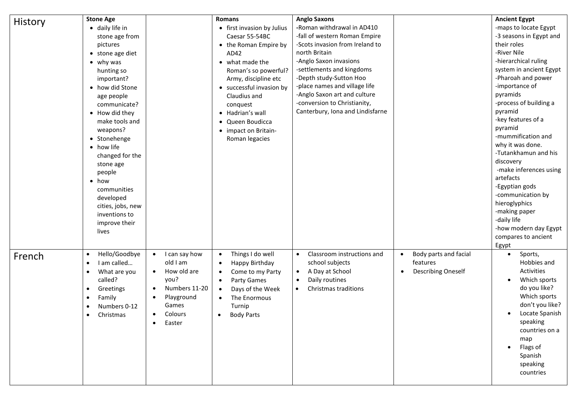|         | <b>Stone Age</b>           |                            | <b>Romans</b>                  | <b>Anglo Saxons</b>                     |                                        | <b>Ancient Egypt</b>                     |
|---------|----------------------------|----------------------------|--------------------------------|-----------------------------------------|----------------------------------------|------------------------------------------|
| History | · daily life in            |                            | • first invasion by Julius     | -Roman withdrawal in AD410              |                                        | -maps to locate Egypt                    |
|         | stone age from             |                            | Caesar 55-54BC                 | -fall of western Roman Empire           |                                        | -3 seasons in Egypt and                  |
|         | pictures                   |                            | • the Roman Empire by          | -Scots invasion from Ireland to         |                                        | their roles                              |
|         | • stone age diet           |                            | AD42                           | north Britain                           |                                        | -River Nile                              |
|         |                            |                            | • what made the                | -Anglo Saxon invasions                  |                                        | -hierarchical ruling                     |
|         | $\bullet$ why was          |                            |                                | -settlements and kingdoms               |                                        | system in ancient Egypt                  |
|         | hunting so                 |                            | Roman's so powerful?           | -Depth study-Sutton Hoo                 |                                        | -Pharoah and power                       |
|         | important?                 |                            | Army, discipline etc           | -place names and village life           |                                        | -importance of                           |
|         | • how did Stone            |                            | • successful invasion by       | -Anglo Saxon art and culture            |                                        | pyramids                                 |
|         | age people                 |                            | Claudius and                   | -conversion to Christianity,            |                                        | -process of building a                   |
|         | communicate?               |                            | conquest                       |                                         |                                        |                                          |
|         | • How did they             |                            | • Hadrian's wall               | Canterbury, Iona and Lindisfarne        |                                        | pyramid                                  |
|         | make tools and             |                            | • Queen Boudicca               |                                         |                                        | -key features of a                       |
|         | weapons?                   |                            | • impact on Britain-           |                                         |                                        | pyramid                                  |
|         | • Stonehenge               |                            | Roman legacies                 |                                         |                                        | -mummification and                       |
|         | • how life                 |                            |                                |                                         |                                        | why it was done.<br>-Tutankhamun and his |
|         | changed for the            |                            |                                |                                         |                                        |                                          |
|         | stone age                  |                            |                                |                                         |                                        | discovery                                |
|         | people                     |                            |                                |                                         |                                        | -make inferences using                   |
|         | $\bullet$ how              |                            |                                |                                         |                                        | artefacts                                |
|         | communities                |                            |                                |                                         |                                        | -Egyptian gods                           |
|         | developed                  |                            |                                |                                         |                                        | -communication by                        |
|         | cities, jobs, new          |                            |                                |                                         |                                        | hieroglyphics                            |
|         | inventions to              |                            |                                |                                         |                                        | -making paper                            |
|         | improve their              |                            |                                |                                         |                                        | -daily life                              |
|         | lives                      |                            |                                |                                         |                                        | -how modern day Egypt                    |
|         |                            |                            |                                |                                         |                                        | compares to ancient                      |
|         |                            |                            |                                |                                         |                                        | Egypt                                    |
| French  | Hello/Goodbye<br>$\bullet$ | I can say how<br>$\bullet$ | Things I do well<br>$\bullet$  | Classroom instructions and<br>$\bullet$ | Body parts and facial<br>$\bullet$     | Sports,                                  |
|         | I am called<br>$\bullet$   | old I am                   | Happy Birthday<br>$\bullet$    | school subjects                         | features                               | Hobbies and                              |
|         | What are you<br>$\bullet$  | How old are<br>$\bullet$   | Come to my Party<br>$\bullet$  | A Day at School<br>$\bullet$            | <b>Describing Oneself</b><br>$\bullet$ | Activities                               |
|         | called?                    | you?                       | Party Games<br>$\bullet$       | Daily routines<br>$\bullet$             |                                        | Which sports                             |
|         | Greetings<br>$\bullet$     | Numbers 11-20<br>$\bullet$ | Days of the Week<br>$\bullet$  | Christmas traditions<br>$\bullet$       |                                        | do you like?                             |
|         | Family<br>$\bullet$        | Playground<br>$\bullet$    | The Enormous                   |                                         |                                        | Which sports                             |
|         | Numbers 0-12<br>$\bullet$  | Games                      | Turnip                         |                                         |                                        | don't you like?                          |
|         | Christmas<br>$\bullet$     | Colours<br>$\bullet$       | <b>Body Parts</b><br>$\bullet$ |                                         |                                        | Locate Spanish                           |
|         |                            | Easter<br>$\bullet$        |                                |                                         |                                        | speaking                                 |
|         |                            |                            |                                |                                         |                                        | countries on a                           |
|         |                            |                            |                                |                                         |                                        | map                                      |
|         |                            |                            |                                |                                         |                                        | Flags of                                 |
|         |                            |                            |                                |                                         |                                        | Spanish                                  |
|         |                            |                            |                                |                                         |                                        | speaking                                 |
|         |                            |                            |                                |                                         |                                        | countries                                |
|         |                            |                            |                                |                                         |                                        |                                          |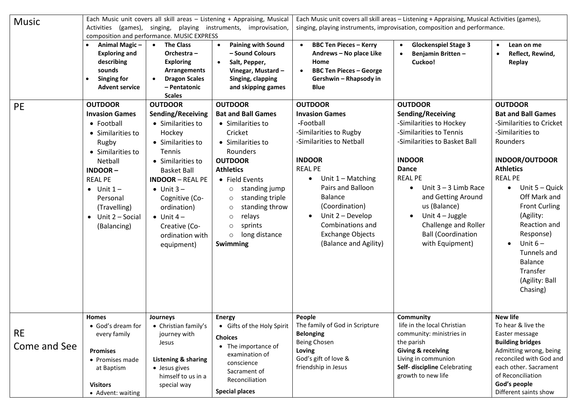| <b>Music</b>              |                                                                                                                                                                                                                                                       | composition and performance. MUSIC EXPRESS                                                                                                                                                                                                                                                                 | Each Music unit covers all skill areas - Listening + Appraising, Musical<br>Activities (games), singing, playing instruments, improvisation,                                                                                                                                                                                                   |                                                                                                                                                                                                                                                                                                                                                     | Each Music unit covers all skill areas - Listening + Appraising, Musical Activities (games),<br>singing, playing instruments, improvisation, composition and performance.                                                                                                                                                                 |                                                                                                                                                                                                                                                                                                                                                                          |
|---------------------------|-------------------------------------------------------------------------------------------------------------------------------------------------------------------------------------------------------------------------------------------------------|------------------------------------------------------------------------------------------------------------------------------------------------------------------------------------------------------------------------------------------------------------------------------------------------------------|------------------------------------------------------------------------------------------------------------------------------------------------------------------------------------------------------------------------------------------------------------------------------------------------------------------------------------------------|-----------------------------------------------------------------------------------------------------------------------------------------------------------------------------------------------------------------------------------------------------------------------------------------------------------------------------------------------------|-------------------------------------------------------------------------------------------------------------------------------------------------------------------------------------------------------------------------------------------------------------------------------------------------------------------------------------------|--------------------------------------------------------------------------------------------------------------------------------------------------------------------------------------------------------------------------------------------------------------------------------------------------------------------------------------------------------------------------|
|                           | <b>Animal Magic-</b><br><b>Exploring and</b><br>describing<br>sounds<br><b>Singing for</b><br>$\bullet$<br><b>Advent service</b>                                                                                                                      | <b>The Class</b><br>$\bullet$<br>Orchestra-<br><b>Exploring</b><br><b>Arrangements</b><br><b>Dragon Scales</b><br>$\bullet$<br>- Pentatonic<br><b>Scales</b>                                                                                                                                               | <b>Paining with Sound</b><br>$\bullet$<br>- Sound Colours<br>Salt, Pepper,<br>$\bullet$<br>Vinegar, Mustard -<br>Singing, clapping<br>and skipping games                                                                                                                                                                                       | <b>BBC Ten Pieces - Kerry</b><br>$\bullet$<br>Andrews - No place Like<br>Home<br><b>BBC Ten Pieces - George</b><br>$\bullet$<br>Gershwin - Rhapsody in<br><b>Blue</b>                                                                                                                                                                               | <b>Glockenspiel Stage 3</b><br>$\bullet$<br>Benjamin Britten-<br>$\bullet$<br>Cuckoo!                                                                                                                                                                                                                                                     | Lean on me<br>Reflect, Rewind,<br>Replay                                                                                                                                                                                                                                                                                                                                 |
| <b>PE</b>                 | <b>OUTDOOR</b><br><b>Invasion Games</b><br>• Football<br>• Similarities to<br>Rugby<br>• Similarities to<br>Netball<br><b>INDOOR-</b><br><b>REAL PE</b><br>$\bullet$ Unit 1 –<br>Personal<br>(Travelling)<br>$\bullet$ Unit 2 – Social<br>(Balancing) | <b>OUTDOOR</b><br>Sending/Receiving<br>• Similarities to<br>Hockey<br>• Similarities to<br><b>Tennis</b><br>• Similarities to<br><b>Basket Ball</b><br><b>INDOOR-REALPE</b><br>$\bullet$ Unit 3 –<br>Cognitive (Co-<br>ordination)<br>$\bullet$ Unit 4 –<br>Creative (Co-<br>ordination with<br>equipment) | <b>OUTDOOR</b><br><b>Bat and Ball Games</b><br>• Similarities to<br>Cricket<br>• Similarities to<br>Rounders<br><b>OUTDOOR</b><br><b>Athletics</b><br>• Field Events<br>standing jump<br>$\circ$<br>standing triple<br>$\circ$<br>standing throw<br>$\circ$<br>relays<br>$\circ$<br>sprints<br>$\circ$<br>long distance<br>$\circ$<br>Swimming | <b>OUTDOOR</b><br><b>Invasion Games</b><br>-Football<br>-Similarities to Rugby<br>-Similarities to Netball<br><b>INDOOR</b><br><b>REAL PE</b><br>Unit $1 -$ Matching<br>$\bullet$<br>Pairs and Balloon<br><b>Balance</b><br>(Coordination)<br>Unit 2 - Develop<br>$\bullet$<br>Combinations and<br><b>Exchange Objects</b><br>(Balance and Agility) | <b>OUTDOOR</b><br>Sending/Receiving<br>-Similarities to Hockey<br>-Similarities to Tennis<br>-Similarities to Basket Ball<br><b>INDOOR</b><br>Dance<br><b>REAL PE</b><br>Unit $3 - 3$ Limb Race<br>and Getting Around<br>us (Balance)<br>Unit $4 - \text{Juggle}$<br>Challenge and Roller<br><b>Ball (Coordination</b><br>with Equipment) | <b>OUTDOOR</b><br><b>Bat and Ball Games</b><br>-Similarities to Cricket<br>-Similarities to<br>Rounders<br><b>INDOOR/OUTDOOR</b><br><b>Athletics</b><br><b>REAL PE</b><br>Unit 5 - Quick<br>$\bullet$<br>Off Mark and<br><b>Front Curling</b><br>(Agility:<br>Reaction and<br>Response)<br>Unit $6-$<br>Tunnels and<br>Balance<br>Transfer<br>(Agility: Ball<br>Chasing) |
| <b>RE</b><br>Come and See | Homes<br>• God's dream for<br>every family<br><b>Promises</b><br>• Promises made<br>at Baptism<br><b>Visitors</b><br>• Advent: waiting                                                                                                                | Journeys<br>• Christian family's<br>journey with<br>Jesus<br><b>Listening &amp; sharing</b><br>• Jesus gives<br>himself to us in a<br>special way                                                                                                                                                          | <b>Energy</b><br>• Gifts of the Holy Spirit<br><b>Choices</b><br>• The importance of<br>examination of<br>conscience<br>Sacrament of<br>Reconciliation<br><b>Special places</b>                                                                                                                                                                | People<br>The family of God in Scripture<br><b>Belonging</b><br>Being Chosen<br>Loving<br>God's gift of love &<br>friendship in Jesus                                                                                                                                                                                                               | Community<br>life in the local Christian<br>community: ministries in<br>the parish<br><b>Giving &amp; receiving</b><br>Living in communion<br>Self- discipline Celebrating<br>growth to new life                                                                                                                                          | <b>New life</b><br>To hear & live the<br>Easter message<br><b>Building bridges</b><br>Admitting wrong, being<br>reconciled with God and<br>each other. Sacrament<br>of Reconciliation<br>God's people<br>Different saints show                                                                                                                                           |